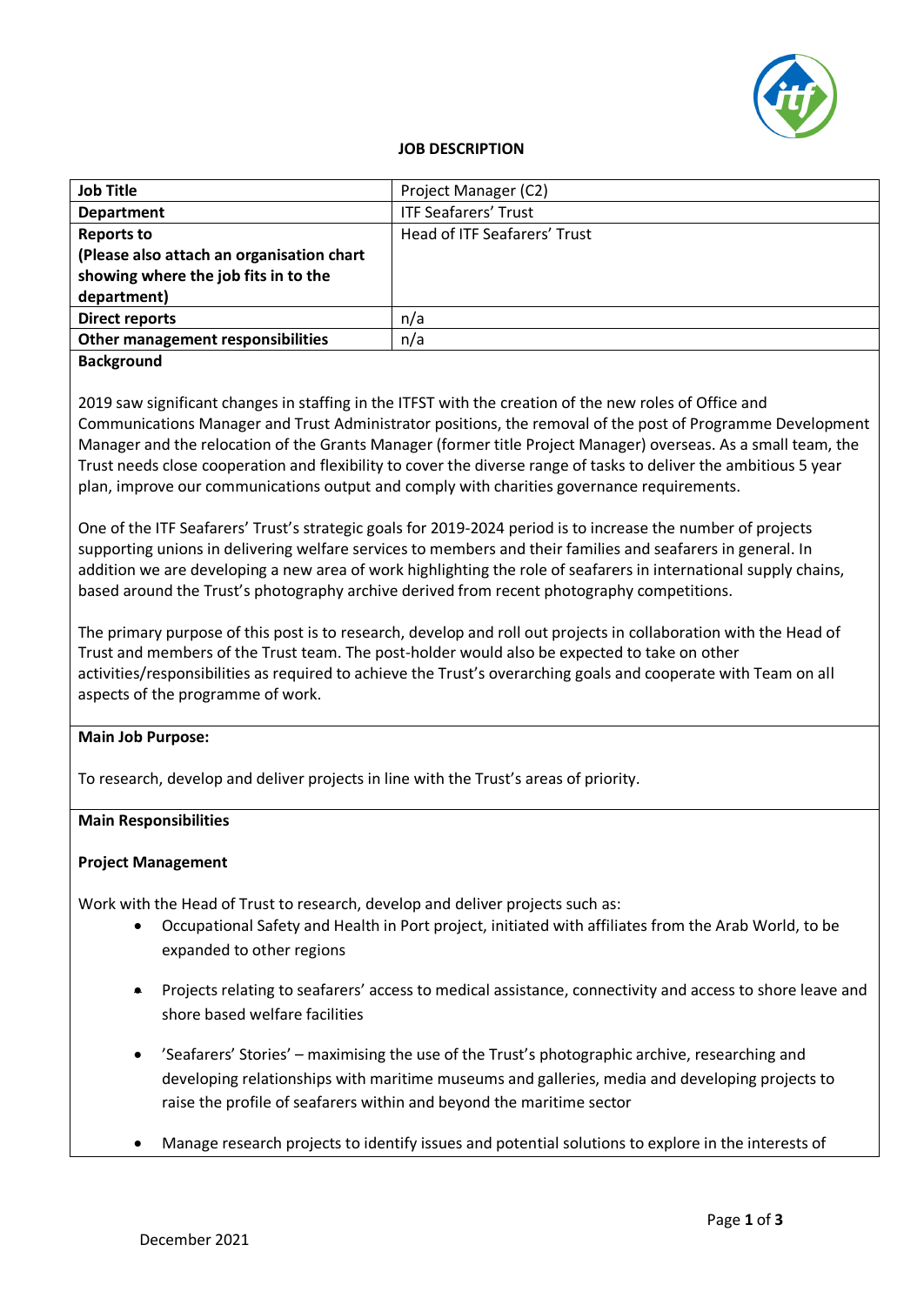

#### **JOB DESCRIPTION**

| <b>Job Title</b>                          | Project Manager (C2)         |
|-------------------------------------------|------------------------------|
| <b>Department</b>                         | <b>ITF Seafarers' Trust</b>  |
| <b>Reports to</b>                         | Head of ITF Seafarers' Trust |
| (Please also attach an organisation chart |                              |
| showing where the job fits in to the      |                              |
| department)                               |                              |
| Direct reports                            | n/a                          |
| Other management responsibilities         | n/a                          |
|                                           |                              |

#### **Background**

2019 saw significant changes in staffing in the ITFST with the creation of the new roles of Office and Communications Manager and Trust Administrator positions, the removal of the post of Programme Development Manager and the relocation of the Grants Manager (former title Project Manager) overseas. As a small team, the Trust needs close cooperation and flexibility to cover the diverse range of tasks to deliver the ambitious 5 year plan, improve our communications output and comply with charities governance requirements.

One of the ITF Seafarers' Trust's strategic goals for 2019-2024 period is to increase the number of projects supporting unions in delivering welfare services to members and their families and seafarers in general. In addition we are developing a new area of work highlighting the role of seafarers in international supply chains, based around the Trust's photography archive derived from recent photography competitions.

The primary purpose of this post is to research, develop and roll out projects in collaboration with the Head of Trust and members of the Trust team. The post-holder would also be expected to take on other activities/responsibilities as required to achieve the Trust's overarching goals and cooperate with Team on all aspects of the programme of work.

#### **Main Job Purpose:**

To research, develop and deliver projects in line with the Trust's areas of priority.

# **Main Responsibilities**

# **Project Management**

Work with the Head of Trust to research, develop and deliver projects such as:

- Occupational Safety and Health in Port project, initiated with affiliates from the Arab World, to be expanded to other regions
- Projects relating to seafarers' access to medical assistance, connectivity and access to shore leave and shore based welfare facilities
- 'Seafarers' Stories' maximising the use of the Trust's photographic archive, researching and developing relationships with maritime museums and galleries, media and developing projects to raise the profile of seafarers within and beyond the maritime sector
- Manage research projects to identify issues and potential solutions to explore in the interests of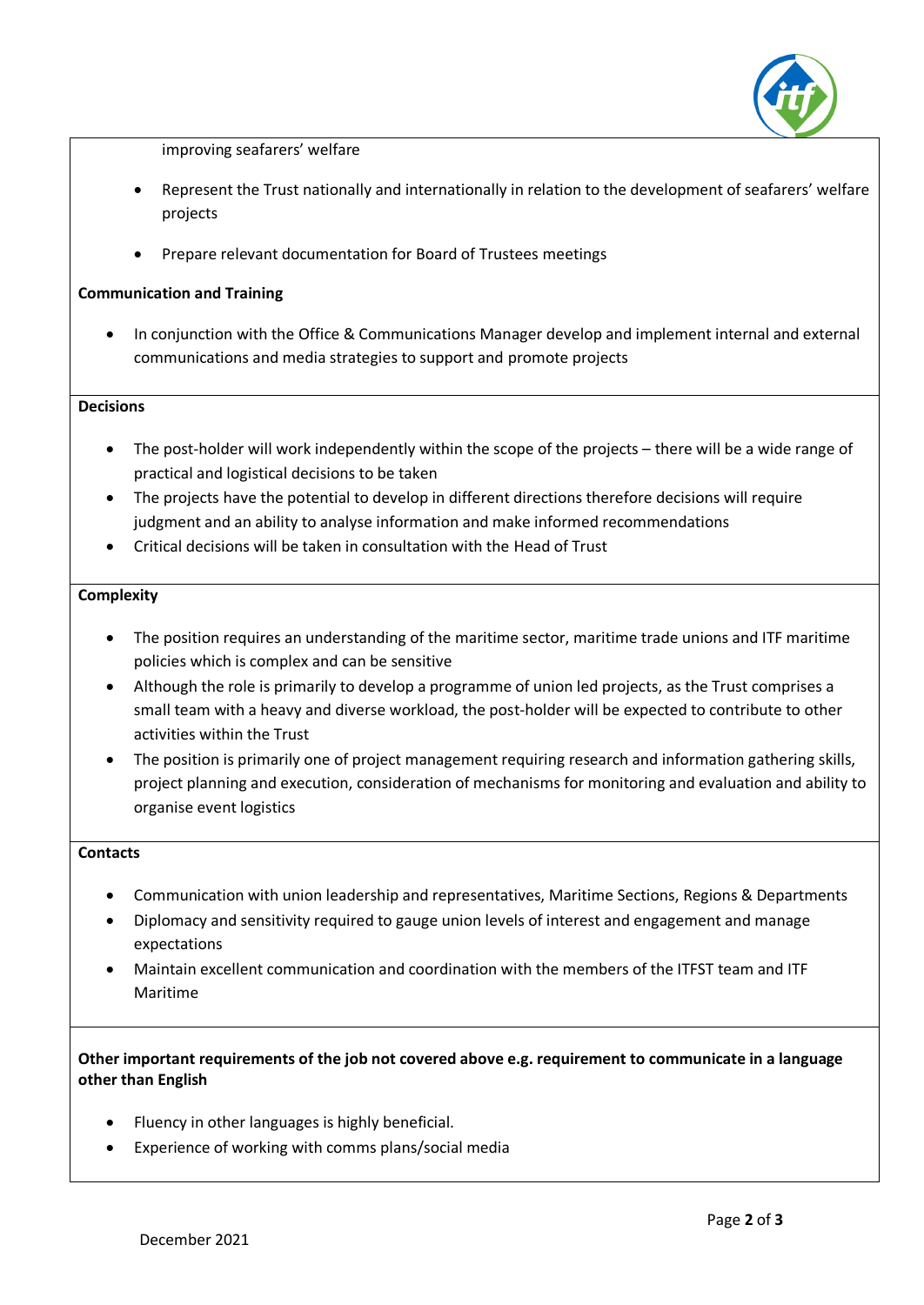

improving seafarers' welfare

- Represent the Trust nationally and internationally in relation to the development of seafarers' welfare projects
- Prepare relevant documentation for Board of Trustees meetings

# **Communication and Training**

• In conjunction with the Office & Communications Manager develop and implement internal and external communications and media strategies to support and promote projects

#### **Decisions**

- The post-holder will work independently within the scope of the projects there will be a wide range of practical and logistical decisions to be taken
- The projects have the potential to develop in different directions therefore decisions will require judgment and an ability to analyse information and make informed recommendations
- Critical decisions will be taken in consultation with the Head of Trust

#### **Complexity**

- The position requires an understanding of the maritime sector, maritime trade unions and ITF maritime policies which is complex and can be sensitive
- Although the role is primarily to develop a programme of union led projects, as the Trust comprises a small team with a heavy and diverse workload, the post-holder will be expected to contribute to other activities within the Trust
- The position is primarily one of project management requiring research and information gathering skills, project planning and execution, consideration of mechanisms for monitoring and evaluation and ability to organise event logistics

# **Contacts**

- Communication with union leadership and representatives, Maritime Sections, Regions & Departments
- Diplomacy and sensitivity required to gauge union levels of interest and engagement and manage expectations
- Maintain excellent communication and coordination with the members of the ITFST team and ITF Maritime

# **Other important requirements of the job not covered above e.g. requirement to communicate in a language other than English**

- Fluency in other languages is highly beneficial.
- Experience of working with comms plans/social media